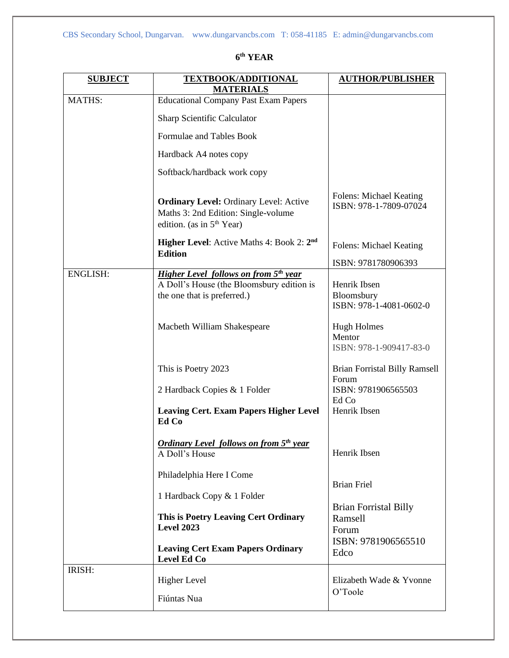| <b>MATHS:</b><br><b>Educational Company Past Exam Papers</b><br>Sharp Scientific Calculator<br>Formulae and Tables Book<br>Hardback A4 notes copy<br>Softback/hardback work copy<br>Folens: Michael Keating<br><b>Ordinary Level: Ordinary Level: Active</b><br>ISBN: 978-1-7809-07024<br>Maths 3: 2nd Edition: Single-volume<br>edition. (as in 5 <sup>th</sup> Year)<br><b>Higher Level:</b> Active Maths 4: Book 2: 2 <sup>nd</sup><br>Folens: Michael Keating<br><b>Edition</b><br>ISBN: 9781780906393<br><b>Higher Level follows on from 5th year</b><br><b>ENGLISH:</b><br>A Doll's House (the Bloomsbury edition is<br>Henrik Ibsen<br>Bloomsbury<br>the one that is preferred.)<br>ISBN: 978-1-4081-0602-0<br>Macbeth William Shakespeare<br><b>Hugh Holmes</b><br>Mentor<br>ISBN: 978-1-909417-83-0<br>This is Poetry 2023<br><b>Brian Forristal Billy Ramsell</b><br>Forum<br>2 Hardback Copies & 1 Folder<br>ISBN: 9781906565503<br>Ed Co<br>Henrik Ibsen<br><b>Leaving Cert. Exam Papers Higher Level</b><br>Ed Co<br><b>Ordinary Level follows on from 5th year</b><br>Henrik Ibsen<br>A Doll's House<br>Philadelphia Here I Come<br><b>Brian Friel</b><br>1 Hardback Copy & 1 Folder<br><b>Brian Forristal Billy</b><br>This is Poetry Leaving Cert Ordinary<br>Ramsell<br><b>Level 2023</b><br>Forum<br>ISBN: 9781906565510<br><b>Leaving Cert Exam Papers Ordinary</b><br>Edco<br>Level Ed Co<br>IRISH:<br><b>Higher Level</b><br>Elizabeth Wade & Yvonne<br>O'Toole<br>Fiúntas Nua | <b>SUBJECT</b> | <b>TEXTBOOK/ADDITIONAL</b><br><b>MATERIALS</b> | <b>AUTHOR/PUBLISHER</b> |
|-----------------------------------------------------------------------------------------------------------------------------------------------------------------------------------------------------------------------------------------------------------------------------------------------------------------------------------------------------------------------------------------------------------------------------------------------------------------------------------------------------------------------------------------------------------------------------------------------------------------------------------------------------------------------------------------------------------------------------------------------------------------------------------------------------------------------------------------------------------------------------------------------------------------------------------------------------------------------------------------------------------------------------------------------------------------------------------------------------------------------------------------------------------------------------------------------------------------------------------------------------------------------------------------------------------------------------------------------------------------------------------------------------------------------------------------------------------------------------------------------------|----------------|------------------------------------------------|-------------------------|
|                                                                                                                                                                                                                                                                                                                                                                                                                                                                                                                                                                                                                                                                                                                                                                                                                                                                                                                                                                                                                                                                                                                                                                                                                                                                                                                                                                                                                                                                                                     |                |                                                |                         |
|                                                                                                                                                                                                                                                                                                                                                                                                                                                                                                                                                                                                                                                                                                                                                                                                                                                                                                                                                                                                                                                                                                                                                                                                                                                                                                                                                                                                                                                                                                     |                |                                                |                         |
|                                                                                                                                                                                                                                                                                                                                                                                                                                                                                                                                                                                                                                                                                                                                                                                                                                                                                                                                                                                                                                                                                                                                                                                                                                                                                                                                                                                                                                                                                                     |                |                                                |                         |
|                                                                                                                                                                                                                                                                                                                                                                                                                                                                                                                                                                                                                                                                                                                                                                                                                                                                                                                                                                                                                                                                                                                                                                                                                                                                                                                                                                                                                                                                                                     |                |                                                |                         |
|                                                                                                                                                                                                                                                                                                                                                                                                                                                                                                                                                                                                                                                                                                                                                                                                                                                                                                                                                                                                                                                                                                                                                                                                                                                                                                                                                                                                                                                                                                     |                |                                                |                         |
|                                                                                                                                                                                                                                                                                                                                                                                                                                                                                                                                                                                                                                                                                                                                                                                                                                                                                                                                                                                                                                                                                                                                                                                                                                                                                                                                                                                                                                                                                                     |                |                                                |                         |
|                                                                                                                                                                                                                                                                                                                                                                                                                                                                                                                                                                                                                                                                                                                                                                                                                                                                                                                                                                                                                                                                                                                                                                                                                                                                                                                                                                                                                                                                                                     |                |                                                |                         |
|                                                                                                                                                                                                                                                                                                                                                                                                                                                                                                                                                                                                                                                                                                                                                                                                                                                                                                                                                                                                                                                                                                                                                                                                                                                                                                                                                                                                                                                                                                     |                |                                                |                         |
|                                                                                                                                                                                                                                                                                                                                                                                                                                                                                                                                                                                                                                                                                                                                                                                                                                                                                                                                                                                                                                                                                                                                                                                                                                                                                                                                                                                                                                                                                                     |                |                                                |                         |
|                                                                                                                                                                                                                                                                                                                                                                                                                                                                                                                                                                                                                                                                                                                                                                                                                                                                                                                                                                                                                                                                                                                                                                                                                                                                                                                                                                                                                                                                                                     |                |                                                |                         |
|                                                                                                                                                                                                                                                                                                                                                                                                                                                                                                                                                                                                                                                                                                                                                                                                                                                                                                                                                                                                                                                                                                                                                                                                                                                                                                                                                                                                                                                                                                     |                |                                                |                         |
|                                                                                                                                                                                                                                                                                                                                                                                                                                                                                                                                                                                                                                                                                                                                                                                                                                                                                                                                                                                                                                                                                                                                                                                                                                                                                                                                                                                                                                                                                                     |                |                                                |                         |
|                                                                                                                                                                                                                                                                                                                                                                                                                                                                                                                                                                                                                                                                                                                                                                                                                                                                                                                                                                                                                                                                                                                                                                                                                                                                                                                                                                                                                                                                                                     |                |                                                |                         |
|                                                                                                                                                                                                                                                                                                                                                                                                                                                                                                                                                                                                                                                                                                                                                                                                                                                                                                                                                                                                                                                                                                                                                                                                                                                                                                                                                                                                                                                                                                     |                |                                                |                         |
|                                                                                                                                                                                                                                                                                                                                                                                                                                                                                                                                                                                                                                                                                                                                                                                                                                                                                                                                                                                                                                                                                                                                                                                                                                                                                                                                                                                                                                                                                                     |                |                                                |                         |
|                                                                                                                                                                                                                                                                                                                                                                                                                                                                                                                                                                                                                                                                                                                                                                                                                                                                                                                                                                                                                                                                                                                                                                                                                                                                                                                                                                                                                                                                                                     |                |                                                |                         |
|                                                                                                                                                                                                                                                                                                                                                                                                                                                                                                                                                                                                                                                                                                                                                                                                                                                                                                                                                                                                                                                                                                                                                                                                                                                                                                                                                                                                                                                                                                     |                |                                                |                         |
|                                                                                                                                                                                                                                                                                                                                                                                                                                                                                                                                                                                                                                                                                                                                                                                                                                                                                                                                                                                                                                                                                                                                                                                                                                                                                                                                                                                                                                                                                                     |                |                                                |                         |
|                                                                                                                                                                                                                                                                                                                                                                                                                                                                                                                                                                                                                                                                                                                                                                                                                                                                                                                                                                                                                                                                                                                                                                                                                                                                                                                                                                                                                                                                                                     |                |                                                |                         |
|                                                                                                                                                                                                                                                                                                                                                                                                                                                                                                                                                                                                                                                                                                                                                                                                                                                                                                                                                                                                                                                                                                                                                                                                                                                                                                                                                                                                                                                                                                     |                |                                                |                         |

## **6 th YEAR**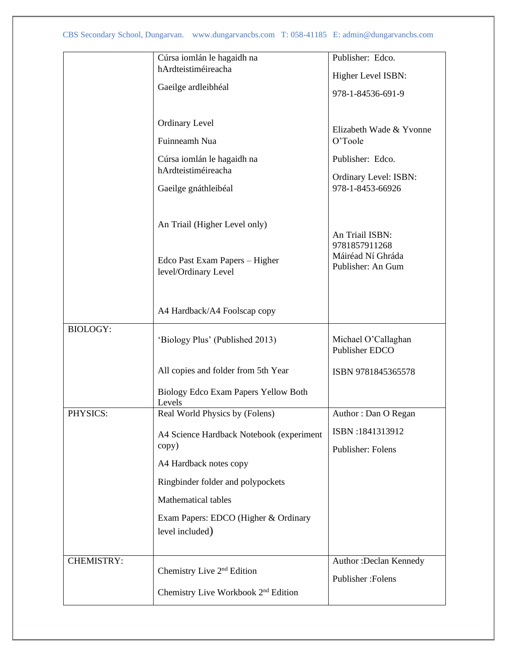|                 | Cúrsa iomlán le hagaidh na                                                              | Publisher: Edco.                                                           |
|-----------------|-----------------------------------------------------------------------------------------|----------------------------------------------------------------------------|
|                 | hArdteistiméireacha                                                                     | Higher Level ISBN:                                                         |
|                 | Gaeilge ardleibhéal                                                                     | 978-1-84536-691-9                                                          |
|                 | <b>Ordinary Level</b><br>Fuinneamh Nua                                                  | Elizabeth Wade & Yvonne<br>O'Toole                                         |
|                 | Cúrsa iomlán le hagaidh na<br>hArdteistiméireacha<br>Gaeilge gnáthleibéal               | Publisher: Edco.<br>Ordinary Level: ISBN:<br>978-1-8453-66926              |
|                 | An Triail (Higher Level only)<br>Edco Past Exam Papers - Higher<br>level/Ordinary Level | An Triail ISBN:<br>9781857911268<br>Máiréad Ní Ghráda<br>Publisher: An Gum |
|                 | A4 Hardback/A4 Foolscap copy                                                            |                                                                            |
| <b>BIOLOGY:</b> | 'Biology Plus' (Published 2013)                                                         | Michael O'Callaghan<br>Publisher EDCO                                      |
|                 | All copies and folder from 5th Year                                                     | ISBN 9781845365578                                                         |
|                 | Biology Edco Exam Papers Yellow Both<br>Levels                                          |                                                                            |
| PHYSICS:        | Real World Physics by (Folens)                                                          | Author: Dan O Regan                                                        |
|                 | A4 Science Hardback Notebook (experiment                                                | ISBN:1841313912                                                            |
|                 | copy)                                                                                   | Publisher: Folens                                                          |
|                 | A4 Hardback notes copy                                                                  |                                                                            |
|                 | Ringbinder folder and polypockets                                                       |                                                                            |
|                 | <b>Mathematical tables</b>                                                              |                                                                            |
|                 | Exam Papers: EDCO (Higher & Ordinary<br>level included)                                 |                                                                            |
| CHEMISTRY:      |                                                                                         | Author: Declan Kennedy                                                     |
|                 | Chemistry Live 2 <sup>nd</sup> Edition                                                  | Publisher: Folens                                                          |
|                 | Chemistry Live Workbook 2 <sup>nd</sup> Edition                                         |                                                                            |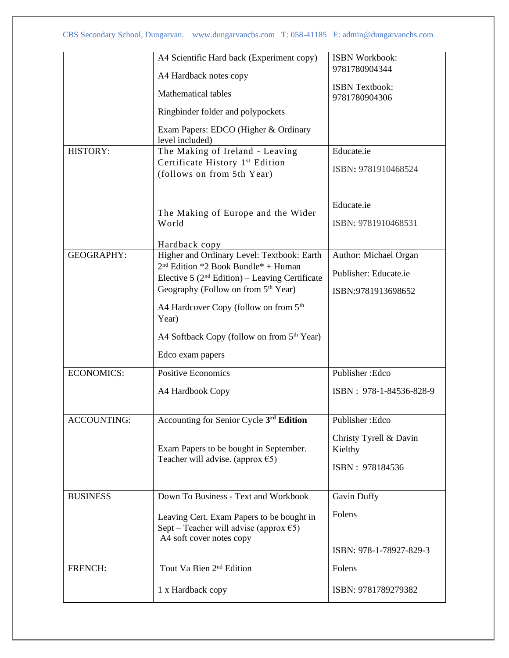|                    | A4 Scientific Hard back (Experiment copy)                                                                                 | <b>ISBN Workbook:</b>                  |
|--------------------|---------------------------------------------------------------------------------------------------------------------------|----------------------------------------|
|                    | A4 Hardback notes copy                                                                                                    | 9781780904344                          |
|                    | <b>Mathematical tables</b>                                                                                                | <b>ISBN Textbook:</b><br>9781780904306 |
|                    | Ringbinder folder and polypockets                                                                                         |                                        |
|                    | Exam Papers: EDCO (Higher & Ordinary<br>level included)                                                                   |                                        |
| HISTORY:           | The Making of Ireland - Leaving                                                                                           | Educate.ie                             |
|                    | Certificate History 1st Edition<br>(follows on from 5th Year)                                                             | ISBN: 9781910468524                    |
|                    | The Making of Europe and the Wider                                                                                        | Educate.ie                             |
|                    | World                                                                                                                     | ISBN: 9781910468531                    |
|                    | Hardback copy                                                                                                             |                                        |
| <b>GEOGRAPHY:</b>  | Higher and Ordinary Level: Textbook: Earth<br>$2nd$ Edition *2 Book Bundle* + Human                                       | Author: Michael Organ                  |
|                    | Elective 5 ( $2nd$ Edition) – Leaving Certificate                                                                         | Publisher: Educate.ie                  |
|                    | Geography (Follow on from 5 <sup>th</sup> Year)                                                                           | ISBN:9781913698652                     |
|                    | A4 Hardcover Copy (follow on from 5 <sup>th</sup><br>Year)                                                                |                                        |
|                    | A4 Softback Copy (follow on from 5 <sup>th</sup> Year)                                                                    |                                        |
|                    | Edco exam papers                                                                                                          |                                        |
| <b>ECONOMICS:</b>  | <b>Positive Economics</b>                                                                                                 | Publisher: Edco                        |
|                    | A4 Hardbook Copy                                                                                                          | ISBN: 978-1-84536-828-9                |
| <b>ACCOUNTING:</b> | Accounting for Senior Cycle 3rd Edition                                                                                   | Publisher: Edco                        |
|                    | Exam Papers to be bought in September.                                                                                    | Christy Tyrell & Davin                 |
|                    | Teacher will advise. (approx $\epsilon$ 5)                                                                                | Kielthy                                |
|                    |                                                                                                                           | ISBN: 978184536                        |
| <b>BUSINESS</b>    | Down To Business - Text and Workbook                                                                                      | Gavin Duffy                            |
|                    | Leaving Cert. Exam Papers to be bought in<br>Sept – Teacher will advise (approx $\epsilon$ 5)<br>A4 soft cover notes copy | Folens                                 |
|                    |                                                                                                                           | ISBN: 978-1-78927-829-3                |
| FRENCH:            | Tout Va Bien 2 <sup>nd</sup> Edition                                                                                      | Folens                                 |
|                    | 1 x Hardback copy                                                                                                         | ISBN: 9781789279382                    |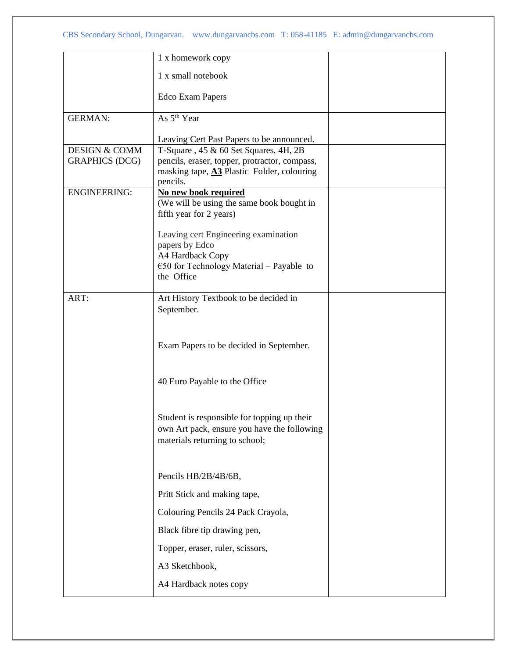|                          | 1 x homework copy                                                |  |
|--------------------------|------------------------------------------------------------------|--|
|                          | 1 x small notebook                                               |  |
|                          | <b>Edco Exam Papers</b>                                          |  |
| <b>GERMAN:</b>           | As 5 <sup>th</sup> Year                                          |  |
|                          | Leaving Cert Past Papers to be announced.                        |  |
| <b>DESIGN &amp; COMM</b> | T-Square, 45 & 60 Set Squares, 4H, 2B                            |  |
| <b>GRAPHICS (DCG)</b>    | pencils, eraser, topper, protractor, compass,                    |  |
|                          | masking tape, A3 Plastic Folder, colouring<br>pencils.           |  |
| <b>ENGINEERING:</b>      | No new book required                                             |  |
|                          | (We will be using the same book bought in                        |  |
|                          | fifth year for 2 years)                                          |  |
|                          | Leaving cert Engineering examination                             |  |
|                          | papers by Edco                                                   |  |
|                          | A4 Hardback Copy                                                 |  |
|                          | $\epsilon$ 50 for Technology Material – Payable to<br>the Office |  |
|                          |                                                                  |  |
| ART:                     | Art History Textbook to be decided in                            |  |
|                          | September.                                                       |  |
|                          |                                                                  |  |
|                          |                                                                  |  |
|                          | Exam Papers to be decided in September.                          |  |
|                          |                                                                  |  |
|                          | 40 Euro Payable to the Office                                    |  |
|                          |                                                                  |  |
|                          | Student is responsible for topping up their                      |  |
|                          | own Art pack, ensure you have the following                      |  |
|                          | materials returning to school;                                   |  |
|                          |                                                                  |  |
|                          | Pencils HB/2B/4B/6B,                                             |  |
|                          | Pritt Stick and making tape,                                     |  |
|                          | Colouring Pencils 24 Pack Crayola,                               |  |
|                          | Black fibre tip drawing pen,                                     |  |
|                          | Topper, eraser, ruler, scissors,                                 |  |
|                          | A3 Sketchbook,                                                   |  |
|                          | A4 Hardback notes copy                                           |  |
|                          |                                                                  |  |